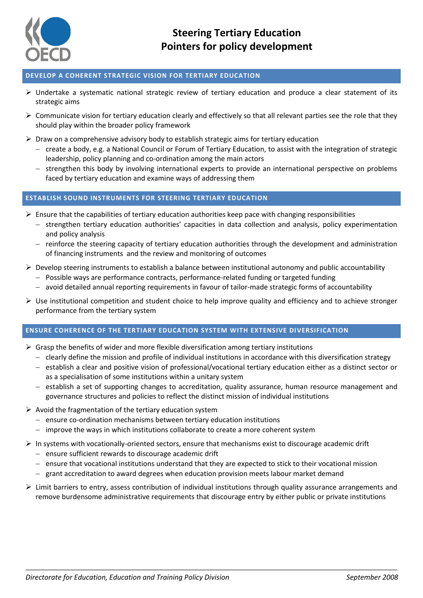

# **DEVELOP A COHERENT STRATEGIC VISION FOR TERTIARY EDUCATION**

- $\triangleright$  Undertake a systematic national strategic review of tertiary education and produce a clear statement of its strategic aims
- $\triangleright$  Communicate vision for tertiary education clearly and effectively so that all relevant parties see the role that they should play within the broader policy framework
- $\triangleright$  Draw on a comprehensive advisory body to establish strategic aims for tertiary education
	- create a body, e.g. a National Council or Forum of Tertiary Education, to assist with the integration of strategic leadership, policy planning and co-ordination among the main actors
	- strengthen this body by involving international experts to provide an international perspective on problems faced by tertiary education and examine ways of addressing them

# **ESTABLISH SOUND INSTRUMENTS FOR STEERING TERTIARY EDUCATION**

- $\triangleright$  Ensure that the capabilities of tertiary education authorities keep pace with changing responsibilities
	- strengthen tertiary education authorities' capacities in data collection and analysis, policy experimentation and policy analysis
	- reinforce the steering capacity of tertiary education authorities through the development and administration of financing instruments and the review and monitoring of outcomes
- $\triangleright$  Develop steering instruments to establish a balance between institutional autonomy and public accountability
	- Possible ways are performance contracts, performance-related funding or targeted funding
	- avoid detailed annual reporting requirements in favour of tailor-made strategic forms of accountability
- $\triangleright$  Use institutional competition and student choice to help improve quality and efficiency and to achieve stronger performance from the tertiary system

### **ENSURE COHERENCE OF THE TERTIARY EDUCATION SYSTEM WITH EXTENSIVE DIVERSIFICATION**

- $\triangleright$  Grasp the benefits of wider and more flexible diversification among tertiary institutions
	- clearly define the mission and profile of individual institutions in accordance with this diversification strategy
	- establish a clear and positive vision of professional/vocational tertiary education either as a distinct sector or as a specialisation of some institutions within a unitary system
	- establish a set of supporting changes to accreditation, quality assurance, human resource management and governance structures and policies to reflect the distinct mission of individual institutions
- $\triangleright$  Avoid the fragmentation of the tertiary education system
	- ensure co-ordination mechanisms between tertiary education institutions
	- $-$  improve the ways in which institutions collaborate to create a more coherent system
- $\triangleright$  In systems with vocationally-oriented sectors, ensure that mechanisms exist to discourage academic drift
	- ensure sufficient rewards to discourage academic drift
	- ensure that vocational institutions understand that they are expected to stick to their vocational mission
	- grant accreditation to award degrees when education provision meets labour market demand
- $\triangleright$  Limit barriers to entry, assess contribution of individual institutions through quality assurance arrangements and remove burdensome administrative requirements that discourage entry by either public or private institutions